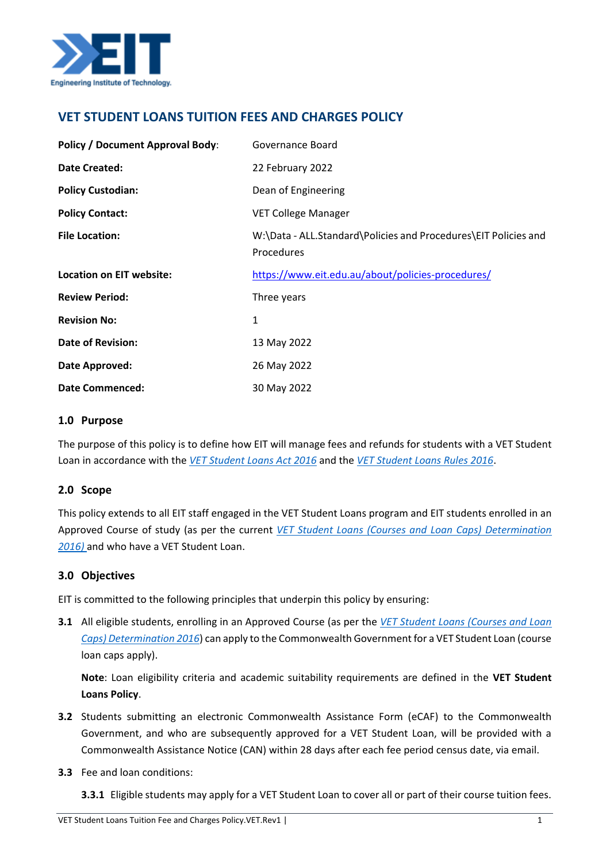

# **VET STUDENT LOANS TUITION FEES AND CHARGES POLICY**

| <b>Policy / Document Approval Body:</b> | Governance Board                                                              |
|-----------------------------------------|-------------------------------------------------------------------------------|
| Date Created:                           | 22 February 2022                                                              |
| <b>Policy Custodian:</b>                | Dean of Engineering                                                           |
| <b>Policy Contact:</b>                  | <b>VET College Manager</b>                                                    |
| <b>File Location:</b>                   | W:\Data - ALL.Standard\Policies and Procedures\EIT Policies and<br>Procedures |
| Location on EIT website:                | https://www.eit.edu.au/about/policies-procedures/                             |
| <b>Review Period:</b>                   | Three years                                                                   |
| <b>Revision No:</b>                     | 1                                                                             |
| <b>Date of Revision:</b>                | 13 May 2022                                                                   |
| Date Approved:                          | 26 May 2022                                                                   |
| <b>Date Commenced:</b>                  | 30 May 2022                                                                   |

### **1.0 Purpose**

The purpose of this policy is to define how EIT will manage fees and refunds for students with a VET Student Loan in accordance with the *[VET Student Loans Act 2016](https://www.legislation.gov.au/Details/C2021C00507)* and the *[VET Student Loans Rules 2016](https://www.legislation.gov.au/Details/F2022C00202)*.

## **2.0 Scope**

This policy extends to all EIT staff engaged in the VET Student Loans program and EIT students enrolled in an Approved Course of study (as per the current *[VET Student Loans \(Courses and Loan Caps\) Determination](https://www.legislation.gov.au/Series/F2016L02016)  [2016\)](https://www.legislation.gov.au/Series/F2016L02016)* and who have a VET Student Loan.

## **3.0 Objectives**

EIT is committed to the following principles that underpin this policy by ensuring:

**3.1** All eligible students, enrolling in an Approved Course (as per the *[VET Student Loans \(Courses and Loan](https://www.legislation.gov.au/Series/F2016L02016)  [Caps\) Determination 2016](https://www.legislation.gov.au/Series/F2016L02016)*) can apply to the Commonwealth Government for a VET Student Loan (course loan caps apply).

**Note**: Loan eligibility criteria and academic suitability requirements are defined in the **VET Student Loans Policy**.

- **3.2** Students submitting an electronic Commonwealth Assistance Form (eCAF) to the Commonwealth Government, and who are subsequently approved for a VET Student Loan, will be provided with a Commonwealth Assistance Notice (CAN) within 28 days after each fee period census date, via email.
- **3.3** Fee and loan conditions:
	- **3.3.1** Eligible students may apply for a VET Student Loan to cover all or part of their course tuition fees.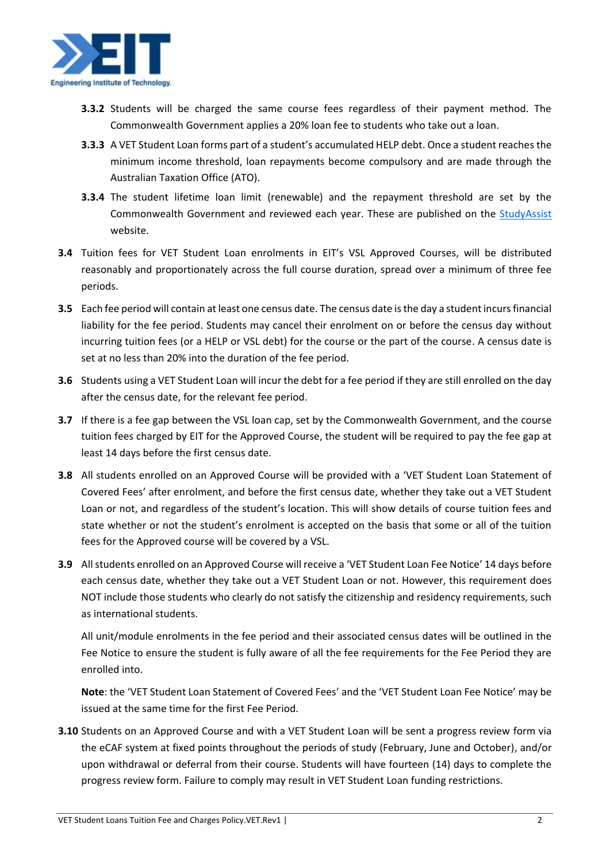

- **3.3.2** Students will be charged the same course fees regardless of their payment method. The Commonwealth Government applies a 20% loan fee to students who take out a loan.
- **3.3.3** A VET Student Loan forms part of a student's accumulated HELP debt. Once a student reaches the minimum income threshold, loan repayments become compulsory and are made through the Australian Taxation Office (ATO).
- **3.3.4** The student lifetime loan limit (renewable) and the repayment threshold are set by the Commonwealth Government and reviewed each year. These are published on the [StudyAssist](https://www.studyassist.gov.au/) website.
- **3.4** Tuition fees for VET Student Loan enrolments in EIT's VSL Approved Courses, will be distributed reasonably and proportionately across the full course duration, spread over a minimum of three fee periods.
- **3.5** Each fee period will contain at least one census date. The census date is the day a student incurs financial liability for the fee period. Students may cancel their enrolment on or before the census day without incurring tuition fees (or a HELP or VSL debt) for the course or the part of the course. A census date is set at no less than 20% into the duration of the fee period.
- **3.6** Students using a VET Student Loan will incur the debt for a fee period if they are still enrolled on the day after the census date, for the relevant fee period.
- **3.7** If there is a fee gap between the VSL loan cap, set by the Commonwealth Government, and the course tuition fees charged by EIT for the Approved Course, the student will be required to pay the fee gap at least 14 days before the first census date.
- **3.8** All students enrolled on an Approved Course will be provided with a 'VET Student Loan Statement of Covered Fees' after enrolment, and before the first census date, whether they take out a VET Student Loan or not, and regardless of the student's location. This will show details of course tuition fees and state whether or not the student's enrolment is accepted on the basis that some or all of the tuition fees for the Approved course will be covered by a VSL.
- **3.9** All students enrolled on an Approved Course will receive a 'VET Student Loan Fee Notice' 14 days before each census date, whether they take out a VET Student Loan or not. However, this requirement does NOT include those students who clearly do not satisfy the citizenship and residency requirements, such as international students.

All unit/module enrolments in the fee period and their associated census dates will be outlined in the Fee Notice to ensure the student is fully aware of all the fee requirements for the Fee Period they are enrolled into.

**Note**: the 'VET Student Loan Statement of Covered Fees' and the 'VET Student Loan Fee Notice' may be issued at the same time for the first Fee Period.

**3.10** Students on an Approved Course and with a VET Student Loan will be sent a progress review form via the eCAF system at fixed points throughout the periods of study (February, June and October), and/or upon withdrawal or deferral from their course. Students will have fourteen (14) days to complete the progress review form. Failure to comply may result in VET Student Loan funding restrictions.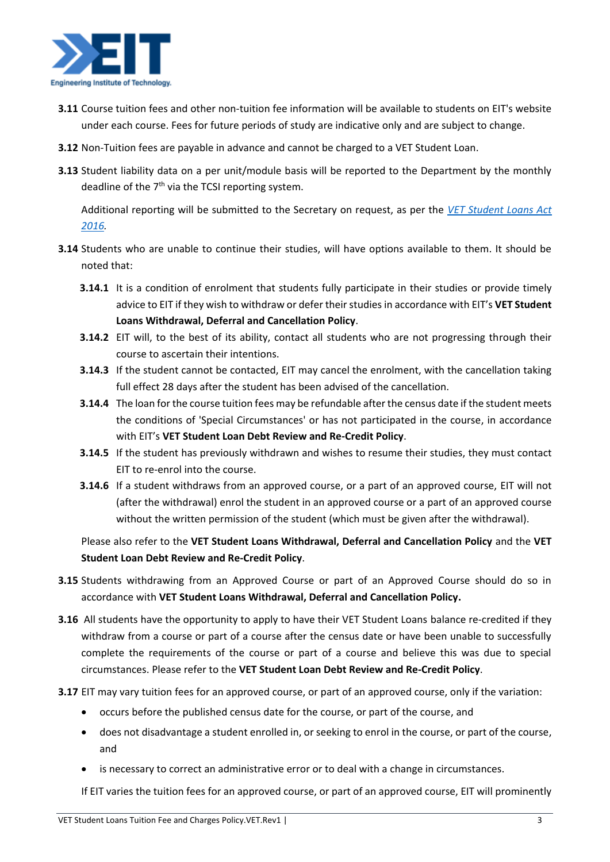

- **3.11** Course tuition fees and other non-tuition fee information will be available to students on EIT's website under each course. Fees for future periods of study are indicative only and are subject to change.
- **3.12** Non-Tuition fees are payable in advance and cannot be charged to a VET Student Loan.
- **3.13** Student liability data on a per unit/module basis will be reported to the Department by the monthly deadline of the 7<sup>th</sup> via the TCSI reporting system.

Additional reporting will be submitted to the Secretary on request, as per the *[VET Student Loans Act](https://www.legislation.gov.au/Details/C2021C00507)  [2016.](https://www.legislation.gov.au/Details/C2021C00507)* 

- **3.14** Students who are unable to continue their studies, will have options available to them. It should be noted that:
	- **3.14.1** It is a condition of enrolment that students fully participate in their studies or provide timely advice to EIT if they wish to withdraw or defer their studies in accordance with EIT's **VET Student Loans Withdrawal, Deferral and Cancellation Policy**.
	- **3.14.2** EIT will, to the best of its ability, contact all students who are not progressing through their course to ascertain their intentions.
	- **3.14.3** If the student cannot be contacted, EIT may cancel the enrolment, with the cancellation taking full effect 28 days after the student has been advised of the cancellation.
	- **3.14.4** The loan for the course tuition fees may be refundable after the census date if the student meets the conditions of 'Special Circumstances' or has not participated in the course, in accordance with EIT's **VET Student Loan Debt Review and Re-Credit Policy**.
	- **3.14.5** If the student has previously withdrawn and wishes to resume their studies, they must contact EIT to re-enrol into the course.
	- **3.14.6** If a student withdraws from an approved course, or a part of an approved course, EIT will not (after the withdrawal) enrol the student in an approved course or a part of an approved course without the written permission of the student (which must be given after the withdrawal).

Please also refer to the **VET Student Loans Withdrawal, Deferral and Cancellation Policy** and the **VET Student Loan Debt Review and Re-Credit Policy**.

- **3.15** Students withdrawing from an Approved Course or part of an Approved Course should do so in accordance with **VET Student Loans Withdrawal, Deferral and Cancellation Policy.**
- **3.16** All students have the opportunity to apply to have their VET Student Loans balance re-credited if they withdraw from a course or part of a course after the census date or have been unable to successfully complete the requirements of the course or part of a course and believe this was due to special circumstances. Please refer to the **VET Student Loan Debt Review and Re-Credit Policy**.
- **3.17** EIT may vary tuition fees for an approved course, or part of an approved course, only if the variation:
	- occurs before the published census date for the course, or part of the course, and
	- does not disadvantage a student enrolled in, or seeking to enrol in the course, or part of the course, and
	- is necessary to correct an administrative error or to deal with a change in circumstances.

If EIT varies the tuition fees for an approved course, or part of an approved course, EIT will prominently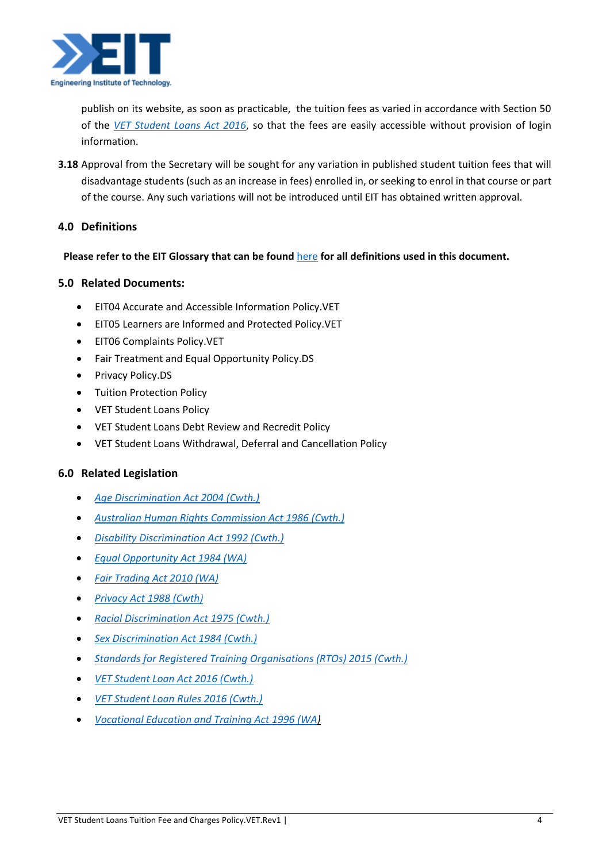

publish on its website, as soon as practicable, the tuition fees as varied in accordance with Section 50 of the *[VET Student Loans Act 2016](https://www.legislation.gov.au/Details/C2021C00507)*, so that the fees are easily accessible without provision of login information.

**3.18** Approval from the Secretary will be sought for any variation in published student tuition fees that will disadvantage students (such as an increase in fees) enrolled in, or seeking to enrol in that course or part of the course. Any such variations will not be introduced until EIT has obtained written approval.

# **4.0 Definitions**

### **Please refer to the EIT Glossary that can be found** [here](https://eittraining.sharepoint.com/:b:/s/Staff-Compliance/EeBnHnTEfcRCirh1yA9kvWIBKPUOp3a2M1STwFM8CBxU3g?e=N7Oshk) **for all definitions used in this document.**

### **5.0 Related Documents:**

- EIT04 Accurate and Accessible Information Policy.VET
- EIT05 Learners are Informed and Protected Policy.VET
- EIT06 Complaints Policy.VET
- Fair Treatment and Equal Opportunity Policy.DS
- Privacy Policy.DS
- Tuition Protection Policy
- VET Student Loans Policy
- VET Student Loans Debt Review and Recredit Policy
- VET Student Loans Withdrawal, Deferral and Cancellation Policy

## **6.0 Related Legislation**

- *Age Discrimination Act 2004 (Cwth.)*
- *[Australian Human Rights Commission Act 1986](https://www.legislation.gov.au/Details/C2021C00559) (Cwth.)*
- *[Disability Discrimination Act 1992](https://www.legislation.gov.au/Details/C2018C00125) (Cwth.)*
- *[Equal Opportunity Act 1984 \(WA\)](https://www.legislation.wa.gov.au/legislation/statutes.nsf/law_a253.html)*
- *[Fair Trading Act 2010 \(WA\)](https://www.legislation.wa.gov.au/legislation/statutes.nsf/law_a146804.html)*
- *[Privacy Act 1988](https://www.legislation.gov.au/Details/C2021C00452) (Cwth)*
- *[Racial Discrimination Act 1975 \(Cwth.\)](https://www.legislation.gov.au/Details/C2016C00089)*
- *[Sex Discrimination Act 1984](https://www.legislation.gov.au/Details/C2021C00420) (Cwth.)*
- *[Standards for Registered Training Organisations \(RTOs\) 2015 \(Cwth.\)](https://www.legislation.gov.au/Details/C2022C00004)*
- *[VET Student Loan Act 2016 \(Cwth.\)](https://www.legislation.gov.au/Details/C2021C00507)*
- *[VET Student Loan Rules 2016 \(Cwth.\)](https://www.legislation.gov.au/Details/F2022C00202)*
- *[Vocational Education and Training Act 1996 \(WA\)](https://eittraining-my.sharepoint.com/personal/christine_jones_eit_edu_au/Documents/Forms%20and%20Documents/1-Templates/Vocational%20Education%20and%20Training%20Act%201996)*